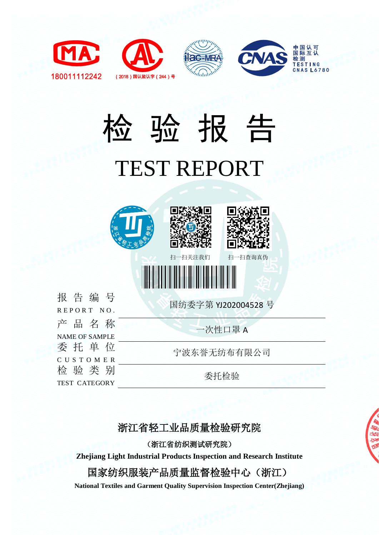





报告编号 REPORT NO. 产品名称 NAME OF SAMPLE 委托单位 C U S T O M E R 检验类别 TEST CATEGORY

国纺委字第 YJ202004528 号 一次性口罩 A 宁波东誉无纺布有限公司

委托检验

浙江省轻工业品质量检验研究院

(浙江省纺织测试研究院)

**Zhejiang Light Industrial Products Inspection and Research Institute**

国家纺织服装产品质量监督检验中心(浙江)

**National Textiles and Garment Quality Supervision Inspection Center(Zhejiang)**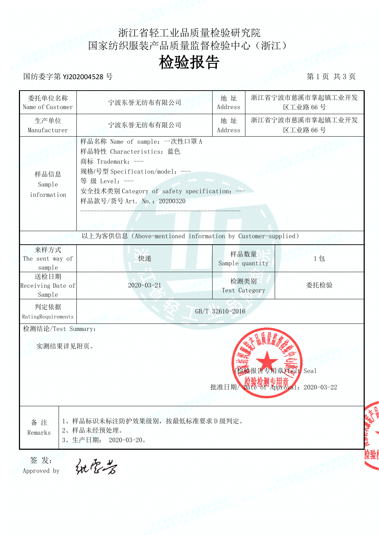### 浙江省轻工业品质量检验研究院 国家纺织服装产品质量监督检验中心(浙江)

### 检验报告

### 国纺委字第 YJ202004528 号 第 2 页 第 2 页 共 3 页 第 1 页 共 3 页

| 委托单位名称<br>Name of Customer                                                            | 宁波东誉无纺布有限公司                                                                                                                                                                                                    | 地址<br>Address           |                    | 浙江省宁波市慈溪市掌起镇工业开发<br>区工业路 66号                      |  |  |  |  |
|---------------------------------------------------------------------------------------|----------------------------------------------------------------------------------------------------------------------------------------------------------------------------------------------------------------|-------------------------|--------------------|---------------------------------------------------|--|--|--|--|
| 生产单位<br>Manufacturer                                                                  | 宁波东誉无纺布有限公司                                                                                                                                                                                                    | 地址<br>Address           |                    | 浙江省宁波市慈溪市掌起镇工业开发<br>区工业路 66号                      |  |  |  |  |
| 样品信息<br>Sample<br>information                                                         | 样品名称 Name of sample: 一次性口罩 A<br>样品特性 Characteristics: 蓝色<br>商标 Trademark: ---<br>规格/号型 Specification/model: ---<br>等级 Level: ---<br>安全技术类别 Category of safety specification: ---<br>样品款号/货号 Art. No.: 20200320 |                         |                    |                                                   |  |  |  |  |
|                                                                                       | 以上为客供信息 (Above-mentioned information by Customer-supplied)                                                                                                                                                     |                         |                    |                                                   |  |  |  |  |
| 来样方式<br>The sent way of<br>sample                                                     | 快递                                                                                                                                                                                                             | 样品数量<br>Sample quantity |                    | 1包                                                |  |  |  |  |
| 送检日期<br>Receiving Date of<br>Sample                                                   | $2020 - 03 - 21$                                                                                                                                                                                               | 检测类别<br>Test Category   |                    | 委托检验                                              |  |  |  |  |
| 判定依据<br>RatingRequirements                                                            | GB/T 32610-2016                                                                                                                                                                                                |                         |                    |                                                   |  |  |  |  |
| 检测结论/Test Summary:<br>实测结果详见附页。                                                       |                                                                                                                                                                                                                |                         | (检验报告专用章)Test Seal | 批准日期 检验检测专用音<br>批准日期 date of Approval: 2020-03-22 |  |  |  |  |
| 1、样品标识未标注防护效果级别, 按最低标准要求 D 级判定。<br>备注<br>2、样品未经预处理。<br>Remarks<br>3、生产日期: 2020-03-20。 |                                                                                                                                                                                                                |                         |                    |                                                   |  |  |  |  |
| 签 发:<br>独窄岩<br>Approved by                                                            |                                                                                                                                                                                                                |                         |                    |                                                   |  |  |  |  |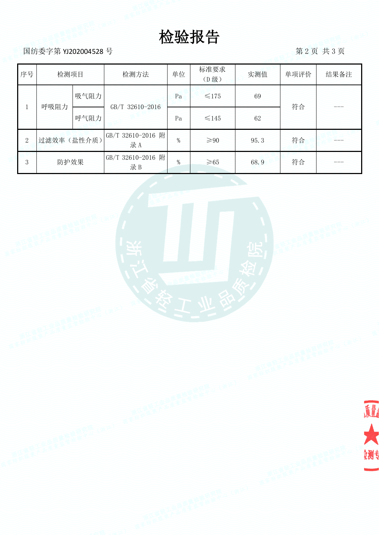# 检验报告

国纺委字第 YJ202004528 号 第 2 页 共 3 页 第 2 页 共 3 页

原量

| 序号             | 检测项目       |      | 检测方法                    | 单位 | 标准要求<br>(D级)   | 实测值  | 单项评价 | 结果备注 |
|----------------|------------|------|-------------------------|----|----------------|------|------|------|
|                | 呼吸阻力       | 吸气阻力 | GB/T 32610-2016         | Pa | $\leq 175$     | 69   | 符合   | ___  |
|                |            | 呼气阻力 |                         | Pa | $\leq 145$     | 62   |      |      |
| $\overline{2}$ | 过滤效率(盐性介质) |      | GB/T 32610-2016 附<br>录A | %  | $\geqslant 90$ | 95.3 | 符合   |      |
| 3              | 防护效果       |      | GB/T 32610-2016 附<br>录B | %  | $\geq 65$      | 68.9 | 符合   |      |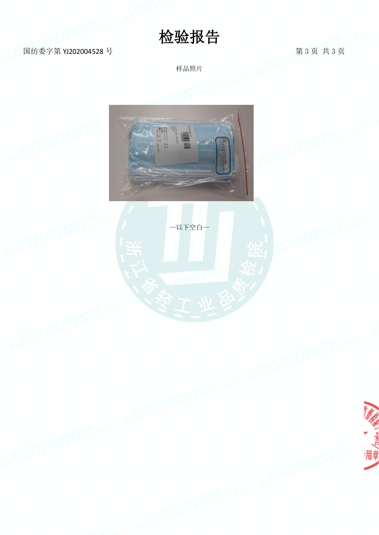# 检验报告

### 国纺委字第 YJ202004528 号 第 3 页 共 3 页 共 3 页

样品照片